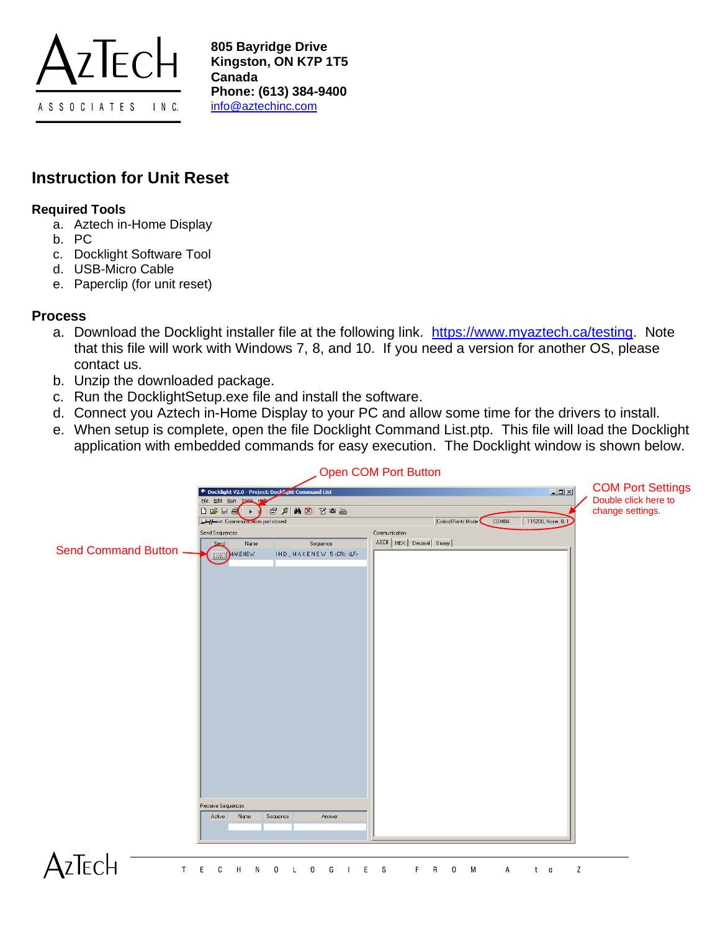

## **Instruction for Unit Reset**

## **Required Tools**

- a. Aztech in-Home Display
- b. PC
- c. Docklight Software Tool
- d. USB-Micro Cable
- e. Paperclip (for unit reset)

## **Process**

- a. Download the Docklight installer file at the following link. [https://www.myaztech.ca/testing.](https://www.myaztech.ca/testing) Note that this file will work with Windows 7, 8, and 10. If you need a version for another OS, please contact us.
- b. Unzip the downloaded package.
- c. Run the DocklightSetup.exe file and install the software.
- d. Connect you Aztech in-Home Display to your PC and allow some time for the drivers to install.
- e. When setup is complete, open the file Docklight Command List.ptp. This file will load the Docklight application with embedded commands for easy execution. The Docklight window is shown below.

|                              | Conmand List<br>File Edit Run Tools Halp<br>$\Box \ncong \Box \ncong$<br>$ E \times  A \times  Z \times $<br>$\blacktriangleright$ |                                          | <b>COM Port Settings</b><br>$\boxed{\underline{\mathsf{L}}\boxtimes\mathsf{K}}$<br>Double click here to<br>change settings. |
|------------------------------|------------------------------------------------------------------------------------------------------------------------------------|------------------------------------------|-----------------------------------------------------------------------------------------------------------------------------|
|                              | Commmunication port closed                                                                                                         | Colors&Fonts Mode<br>COM84               | 115200, None, 8, 1                                                                                                          |
|                              | Send Sequences                                                                                                                     | Communication                            |                                                                                                                             |
|                              | Send<br>Name<br>Sequence                                                                                                           | ASCII   HEX   Decimal   Binary           |                                                                                                                             |
| <b>Send Command Button -</b> | MAKENEW<br>IHD_MAKENEW 5 <cr><lf></lf></cr>                                                                                        |                                          |                                                                                                                             |
|                              |                                                                                                                                    |                                          |                                                                                                                             |
|                              |                                                                                                                                    |                                          |                                                                                                                             |
|                              |                                                                                                                                    |                                          |                                                                                                                             |
|                              |                                                                                                                                    |                                          |                                                                                                                             |
|                              |                                                                                                                                    |                                          |                                                                                                                             |
|                              |                                                                                                                                    |                                          |                                                                                                                             |
|                              |                                                                                                                                    |                                          |                                                                                                                             |
|                              |                                                                                                                                    |                                          |                                                                                                                             |
|                              |                                                                                                                                    |                                          |                                                                                                                             |
|                              |                                                                                                                                    |                                          |                                                                                                                             |
|                              |                                                                                                                                    |                                          |                                                                                                                             |
|                              |                                                                                                                                    |                                          |                                                                                                                             |
|                              |                                                                                                                                    |                                          |                                                                                                                             |
|                              |                                                                                                                                    |                                          |                                                                                                                             |
|                              |                                                                                                                                    |                                          |                                                                                                                             |
|                              |                                                                                                                                    |                                          |                                                                                                                             |
|                              |                                                                                                                                    |                                          |                                                                                                                             |
|                              |                                                                                                                                    |                                          |                                                                                                                             |
|                              |                                                                                                                                    |                                          |                                                                                                                             |
|                              |                                                                                                                                    |                                          |                                                                                                                             |
|                              |                                                                                                                                    |                                          |                                                                                                                             |
|                              | Receive Sequences                                                                                                                  |                                          |                                                                                                                             |
|                              | Name<br>Sequence<br>Answer<br>Active                                                                                               |                                          |                                                                                                                             |
|                              |                                                                                                                                    |                                          |                                                                                                                             |
|                              |                                                                                                                                    |                                          |                                                                                                                             |
|                              |                                                                                                                                    |                                          |                                                                                                                             |
|                              |                                                                                                                                    |                                          |                                                                                                                             |
| ECH<br>T                     | 0<br>G<br>Ε<br>C<br>Η<br>N<br>0                                                                                                    | M<br>S<br>F<br>R<br>0<br>E<br>Α<br>$t -$ | Z<br>$\overline{\mathbf{0}}$                                                                                                |

## Open COM Port Button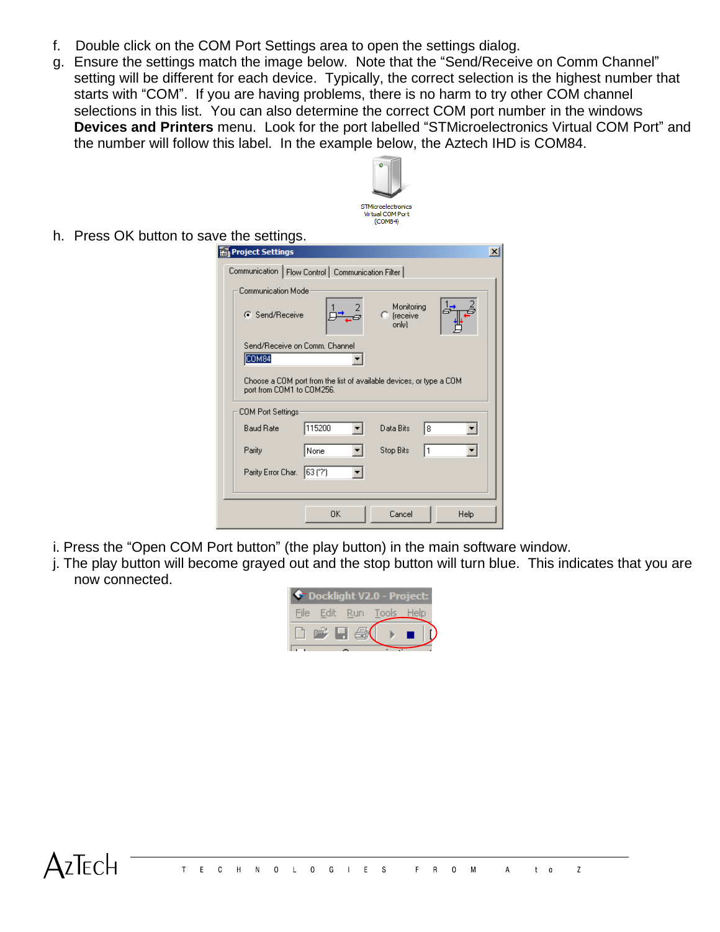- f. Double click on the COM Port Settings area to open the settings dialog.
- g. Ensure the settings match the image below. Note that the "Send/Receive on Comm Channel" setting will be different for each device. Typically, the correct selection is the highest number that starts with "COM". If you are having problems, there is no harm to try other COM channel selections in this list. You can also determine the correct COM port number in the windows **Devices and Printers** menu. Look for the port labelled "STMicroelectronics Virtual COM Port" and the number will follow this label. In the example below, the Aztech IHD is COM84.



h. Press OK button to save the settings.

| Project Settings                                                                                 |          |                                   |      | $\vert x \vert$ |  |
|--------------------------------------------------------------------------------------------------|----------|-----------------------------------|------|-----------------|--|
| Communication   Flow Control   Communication Filter                                              |          |                                   |      |                 |  |
| Communication Mode                                                                               |          |                                   |      |                 |  |
| C Send/Receive                                                                                   |          | Monitoring<br>C (receive<br>onlul |      |                 |  |
| Send/Receive on Comm. Channel                                                                    |          |                                   |      |                 |  |
| COM <sub>84</sub>                                                                                |          |                                   |      |                 |  |
| Choose a COM port from the list of available devices, or type a COM<br>port from COM1 to COM256. |          |                                   |      |                 |  |
| COM Port Settings                                                                                |          |                                   |      |                 |  |
| <b>Baud Rate</b>                                                                                 | 115200   | Data Bits<br>l8                   |      |                 |  |
| Parity                                                                                           | None     | Stop Bits<br>I٦                   |      |                 |  |
| Parity Error Char.                                                                               | 163 (1?1 |                                   |      |                 |  |
|                                                                                                  |          |                                   |      |                 |  |
|                                                                                                  | OK       | Cancel                            | Help |                 |  |

- i. Press the "Open COM Port button" (the play button) in the main software window.
- j. The play button will become grayed out and the stop button will turn blue. This indicates that you are now connected.